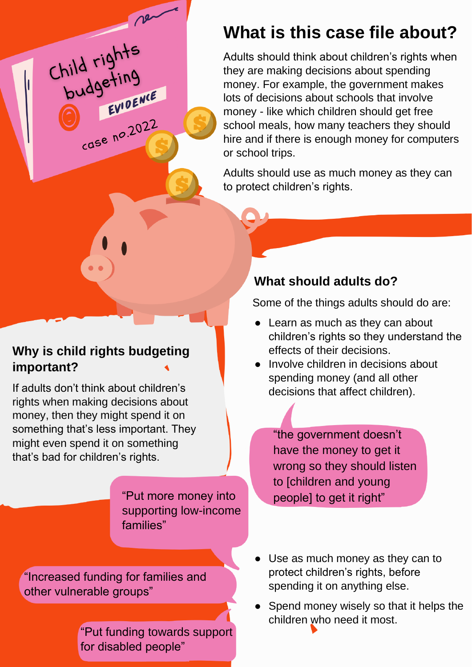## **What is this case file about?**

Adults should think about children's rights when they are making decisions about spending money. For example, the government makes lots of decisions about schools that involve money - like which children should get free school meals, how many teachers they should hire and if there is enough money for computers or school trips.

Adults should use as much money as they can to protect children's rights.

#### **Why is child rights budgeting important?**

Child rights<br>budgeting

EVIDENCE

 $rac{1}{2}$ 

If adults don't think about children's rights when making decisions about money, then they might spend it on something that's less important. They might even spend it on something that's bad for children's rights.

> "Put more money into supporting low-income families"

"Increased funding for families and other vulnerable groups"

> "Put funding towards support for disabled people"

#### **What should adults do?**

Some of the things adults should do are:

- Learn as much as they can about children's rights so they understand the effects of their decisions.
- Involve children in decisions about spending money (and all other decisions that affect children).

"the government doesn't have the money to get it wrong so they should listen to [children and young people] to get it right"

- Use as much money as they can to protect children's rights, before spending it on anything else.
- Spend money wisely so that it helps the children who need it most.